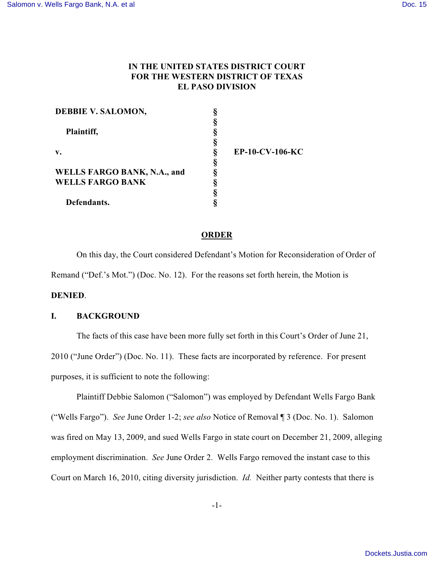## **IN THE UNITED STATES DISTRICT COURT FOR THE WESTERN DISTRICT OF TEXAS EL PASO DIVISION**

| DEBBIE V. SALOMON,                 |                 |
|------------------------------------|-----------------|
|                                    |                 |
| Plaintiff,                         |                 |
|                                    |                 |
| $\mathbf{v}$ .                     | EP-10-CV-106-KC |
|                                    |                 |
| <b>WELLS FARGO BANK, N.A., and</b> |                 |
| <b>WELLS FARGO BANK</b>            |                 |
|                                    |                 |
| Defendants.                        |                 |

#### **ORDER**

On this day, the Court considered Defendant's Motion for Reconsideration of Order of Remand ("Def.'s Mot.") (Doc. No. 12). For the reasons set forth herein, the Motion is

# **DENIED**.

## **I. BACKGROUND**

The facts of this case have been more fully set forth in this Court's Order of June 21, 2010 ("June Order") (Doc. No. 11). These facts are incorporated by reference. For present purposes, it is sufficient to note the following:

Plaintiff Debbie Salomon ("Salomon") was employed by Defendant Wells Fargo Bank ("Wells Fargo"). *See* June Order 1-2; *see also* Notice of Removal ¶ 3 (Doc. No. 1). Salomon was fired on May 13, 2009, and sued Wells Fargo in state court on December 21, 2009, alleging employment discrimination. *See* June Order 2. Wells Fargo removed the instant case to this Court on March 16, 2010, citing diversity jurisdiction. *Id.* Neither party contests that there is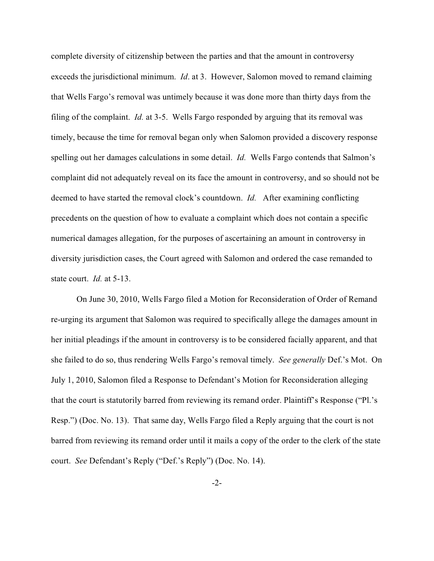complete diversity of citizenship between the parties and that the amount in controversy exceeds the jurisdictional minimum. *Id*. at 3. However, Salomon moved to remand claiming that Wells Fargo's removal was untimely because it was done more than thirty days from the filing of the complaint. *Id.* at 3-5. Wells Fargo responded by arguing that its removal was timely, because the time for removal began only when Salomon provided a discovery response spelling out her damages calculations in some detail. *Id.* Wells Fargo contends that Salmon's complaint did not adequately reveal on its face the amount in controversy, and so should not be deemed to have started the removal clock's countdown. *Id.* After examining conflicting precedents on the question of how to evaluate a complaint which does not contain a specific numerical damages allegation, for the purposes of ascertaining an amount in controversy in diversity jurisdiction cases, the Court agreed with Salomon and ordered the case remanded to state court. *Id.* at 5-13.

On June 30, 2010, Wells Fargo filed a Motion for Reconsideration of Order of Remand re-urging its argument that Salomon was required to specifically allege the damages amount in her initial pleadings if the amount in controversy is to be considered facially apparent, and that she failed to do so, thus rendering Wells Fargo's removal timely. *See generally* Def.'s Mot. On July 1, 2010, Salomon filed a Response to Defendant's Motion for Reconsideration alleging that the court is statutorily barred from reviewing its remand order. Plaintiff's Response ("Pl.'s Resp.") (Doc. No. 13). That same day, Wells Fargo filed a Reply arguing that the court is not barred from reviewing its remand order until it mails a copy of the order to the clerk of the state court. *See* Defendant's Reply ("Def.'s Reply") (Doc. No. 14).

-2-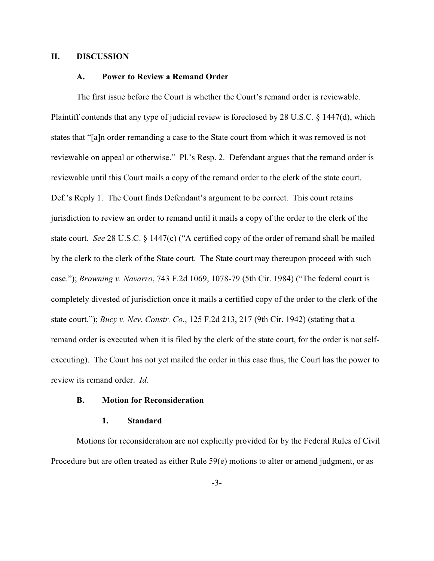#### **II. DISCUSSION**

#### **A. Power to Review a Remand Order**

The first issue before the Court is whether the Court's remand order is reviewable. Plaintiff contends that any type of judicial review is foreclosed by 28 U.S.C. § 1447(d), which states that "[a]n order remanding a case to the State court from which it was removed is not reviewable on appeal or otherwise." Pl.'s Resp. 2. Defendant argues that the remand order is reviewable until this Court mails a copy of the remand order to the clerk of the state court. Def.'s Reply 1. The Court finds Defendant's argument to be correct. This court retains jurisdiction to review an order to remand until it mails a copy of the order to the clerk of the state court. *See* 28 U.S.C. § 1447(c) ("A certified copy of the order of remand shall be mailed by the clerk to the clerk of the State court. The State court may thereupon proceed with such case."); *Browning v. Navarro*, 743 F.2d 1069, 1078-79 (5th Cir. 1984) ("The federal court is completely divested of jurisdiction once it mails a certified copy of the order to the clerk of the state court."); *Bucy v. Nev. Constr. Co.*, 125 F.2d 213, 217 (9th Cir. 1942) (stating that a remand order is executed when it is filed by the clerk of the state court, for the order is not selfexecuting). The Court has not yet mailed the order in this case thus, the Court has the power to review its remand order. *Id*.

#### **B. Motion for Reconsideration**

#### **1. Standard**

Motions for reconsideration are not explicitly provided for by the Federal Rules of Civil Procedure but are often treated as either Rule 59(e) motions to alter or amend judgment, or as

-3-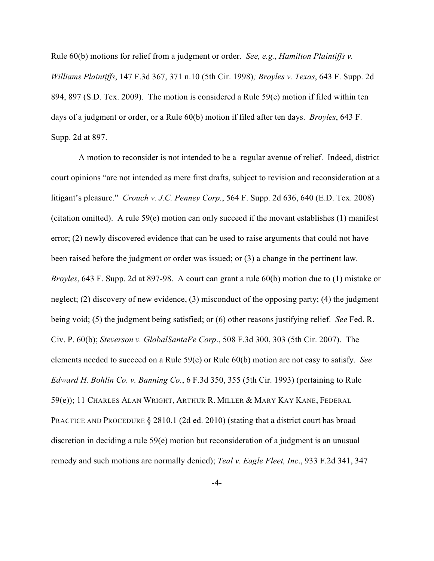Rule 60(b) motions for relief from a judgment or order. *See, e.g.*, *Hamilton Plaintiffs v. Williams Plaintiffs*, 147 F.3d 367, 371 n.10 (5th Cir. 1998)*; Broyles v. Texas*, 643 F. Supp. 2d 894, 897 (S.D. Tex. 2009). The motion is considered a Rule 59(e) motion if filed within ten days of a judgment or order, or a Rule 60(b) motion if filed after ten days. *Broyles*, 643 F. Supp. 2d at 897.

 A motion to reconsider is not intended to be a regular avenue of relief. Indeed, district court opinions "are not intended as mere first drafts, subject to revision and reconsideration at a litigant's pleasure." *Crouch v. J.C. Penney Corp.*, 564 F. Supp. 2d 636, 640 (E.D. Tex. 2008) (citation omitted). A rule 59(e) motion can only succeed if the movant establishes (1) manifest error; (2) newly discovered evidence that can be used to raise arguments that could not have been raised before the judgment or order was issued; or (3) a change in the pertinent law. *Broyles*, 643 F. Supp. 2d at 897-98. A court can grant a rule 60(b) motion due to (1) mistake or neglect; (2) discovery of new evidence, (3) misconduct of the opposing party; (4) the judgment being void; (5) the judgment being satisfied; or (6) other reasons justifying relief. *See* Fed. R. Civ. P. 60(b); *Steverson v. GlobalSantaFe Corp*., 508 F.3d 300, 303 (5th Cir. 2007). The elements needed to succeed on a Rule 59(e) or Rule 60(b) motion are not easy to satisfy. *See Edward H. Bohlin Co. v. Banning Co.*, 6 F.3d 350, 355 (5th Cir. 1993) (pertaining to Rule 59(e)); 11 CHARLES ALAN WRIGHT, ARTHUR R. MILLER & MARY KAY KANE, FEDERAL PRACTICE AND PROCEDURE § 2810.1 (2d ed. 2010) (stating that a district court has broad discretion in deciding a rule 59(e) motion but reconsideration of a judgment is an unusual remedy and such motions are normally denied); *Teal v. Eagle Fleet, Inc*., 933 F.2d 341, 347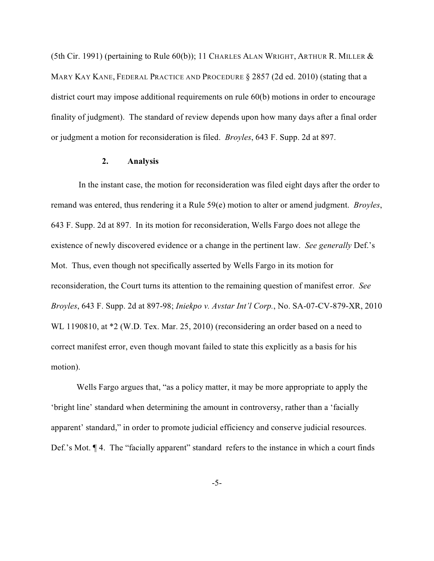(5th Cir. 1991) (pertaining to Rule  $60(b)$ ); 11 CHARLES ALAN WRIGHT, ARTHUR R. MILLER  $&$ MARY KAY KANE, FEDERAL PRACTICE AND PROCEDURE § 2857 (2d ed. 2010) (stating that a district court may impose additional requirements on rule 60(b) motions in order to encourage finality of judgment). The standard of review depends upon how many days after a final order or judgment a motion for reconsideration is filed. *Broyles*, 643 F. Supp. 2d at 897.

#### **2. Analysis**

 In the instant case, the motion for reconsideration was filed eight days after the order to remand was entered, thus rendering it a Rule 59(e) motion to alter or amend judgment. *Broyles*, 643 F. Supp. 2d at 897. In its motion for reconsideration, Wells Fargo does not allege the existence of newly discovered evidence or a change in the pertinent law. *See generally* Def.'s Mot. Thus, even though not specifically asserted by Wells Fargo in its motion for reconsideration, the Court turns its attention to the remaining question of manifest error. *See Broyles*, 643 F. Supp. 2d at 897-98; *Iniekpo v. Avstar Int'l Corp.*, No. SA-07-CV-879-XR, 2010 WL 1190810, at  $*2$  (W.D. Tex. Mar. 25, 2010) (reconsidering an order based on a need to correct manifest error, even though movant failed to state this explicitly as a basis for his motion).

Wells Fargo argues that, "as a policy matter, it may be more appropriate to apply the 'bright line' standard when determining the amount in controversy, rather than a 'facially apparent' standard," in order to promote judicial efficiency and conserve judicial resources. Def.'s Mot.  $\P$  4. The "facially apparent" standard refers to the instance in which a court finds

-5-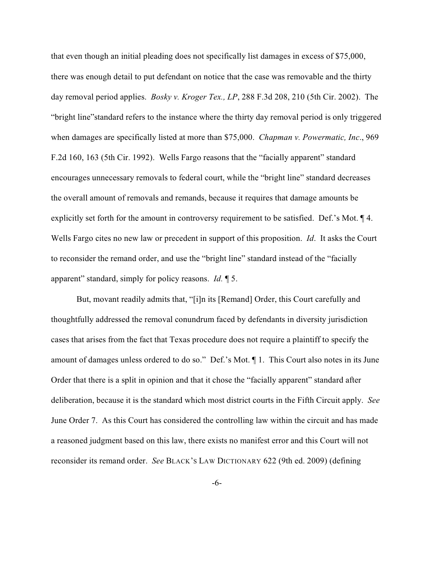that even though an initial pleading does not specifically list damages in excess of \$75,000, there was enough detail to put defendant on notice that the case was removable and the thirty day removal period applies. *Bosky v. Kroger Tex., LP*, 288 F.3d 208, 210 (5th Cir. 2002). The "bright line"standard refers to the instance where the thirty day removal period is only triggered when damages are specifically listed at more than \$75,000. *Chapman v. Powermatic, Inc*., 969 F.2d 160, 163 (5th Cir. 1992). Wells Fargo reasons that the "facially apparent" standard encourages unnecessary removals to federal court, while the "bright line" standard decreases the overall amount of removals and remands, because it requires that damage amounts be explicitly set forth for the amount in controversy requirement to be satisfied. Def.'s Mot. ¶ 4. Wells Fargo cites no new law or precedent in support of this proposition. *Id*. It asks the Court to reconsider the remand order, and use the "bright line" standard instead of the "facially apparent" standard, simply for policy reasons. *Id.* ¶ 5.

But, movant readily admits that, "[i]n its [Remand] Order, this Court carefully and thoughtfully addressed the removal conundrum faced by defendants in diversity jurisdiction cases that arises from the fact that Texas procedure does not require a plaintiff to specify the amount of damages unless ordered to do so." Def.'s Mot. ¶ 1. This Court also notes in its June Order that there is a split in opinion and that it chose the "facially apparent" standard after deliberation, because it is the standard which most district courts in the Fifth Circuit apply. *See* June Order 7. As this Court has considered the controlling law within the circuit and has made a reasoned judgment based on this law, there exists no manifest error and this Court will not reconsider its remand order. *See* BLACK'S LAW DICTIONARY 622 (9th ed. 2009) (defining